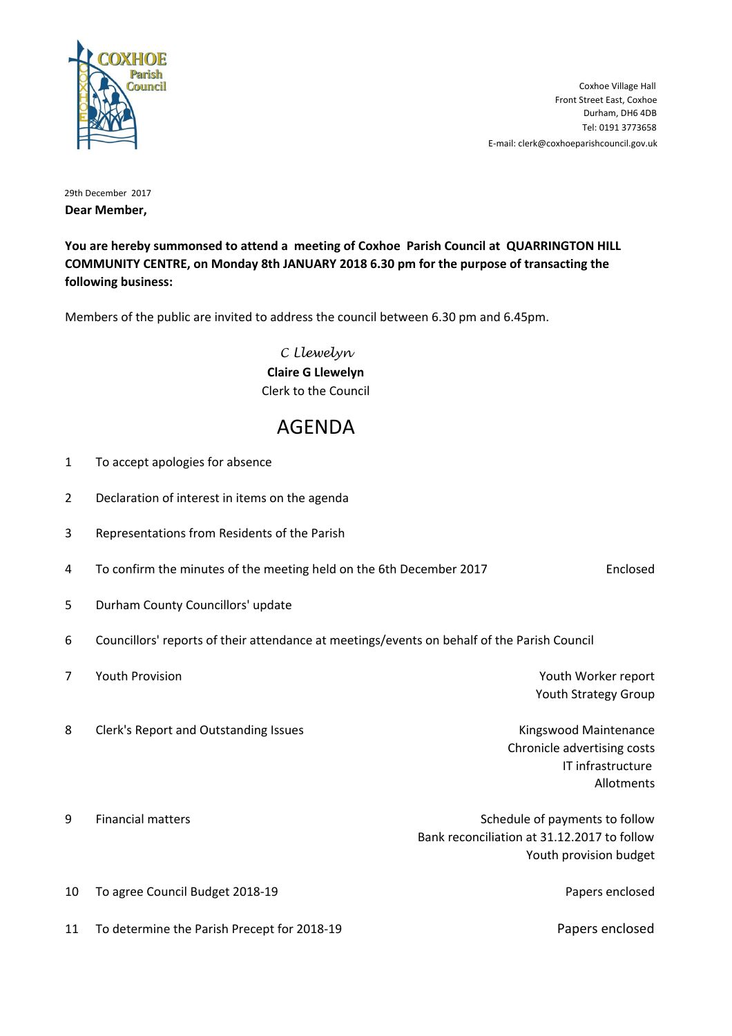

E-mail: clerk@coxhoeparishcouncil.gov.uk Tel: 0191 3773658 Durham, DH6 4DB Front Street East, Coxhoe Coxhoe Village Hall

29th December 2017 **Dear Member,**

**You are hereby summonsed to attend a meeting of Coxhoe Parish Council at QUARRINGTON HILL COMMUNITY CENTRE, on Monday 8th JANUARY 2018 6.30 pm for the purpose of transacting the following business:**

Members of the public are invited to address the council between 6.30 pm and 6.45pm.

C Llewelyn **Claire G Llewelyn** Clerk to the Council

## AGENDA

- 1 To accept apologies for absence
- 2 Declaration of interest in items on the agenda
- 3 Representations from Residents of the Parish
- 4 To confirm the minutes of the meeting held on the 6th December 2017 **Enclosed**
- 5 Durham County Councillors' update
- 6 Councillors' reports of their attendance at meetings/events on behalf of the Parish Council
- **7** Youth Provision Youth Provision Number 2012 12:30 Number 2012 12:30 Number 2012 12:30 Number 2013 12:30 Number 2013 Youth Strategy Group
- 8 Clerk's Report and Outstanding Issues Kingswood Maintenance

Chronicle advertising costs IT infrastructure Allotments

| q | <b>Financial matters</b> | Schedule of payments to follow              |
|---|--------------------------|---------------------------------------------|
|   |                          | Bank reconciliation at 31.12.2017 to follow |
|   |                          | Youth provision budget                      |
|   |                          |                                             |

10 To agree Council Budget 2018-19 Papers enclosed

11 To determine the Parish Precept for 2018-19 Papers enclosed